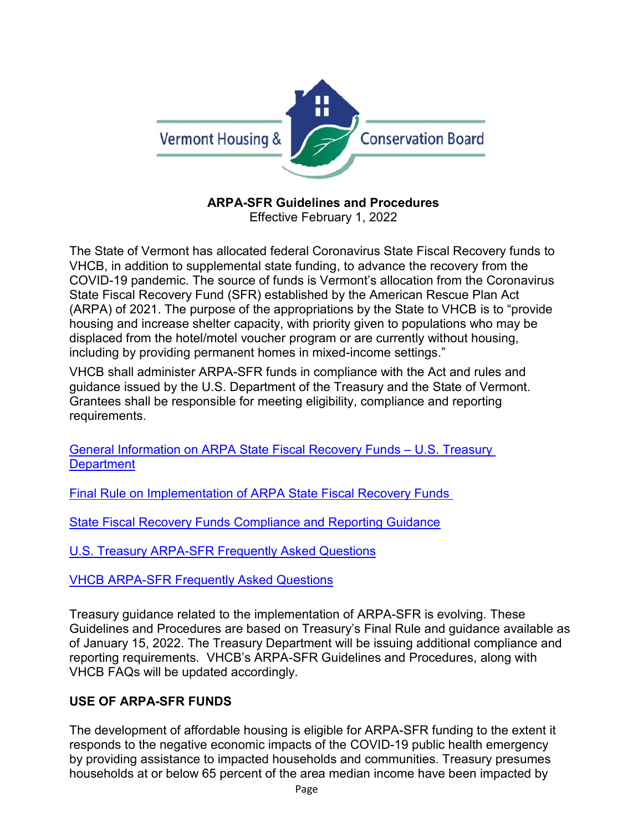

# **ARPA-SFR Guidelines and Procedures**

Effective February 1, 2022

The State of Vermont has allocated federal Coronavirus State Fiscal Recovery funds to VHCB, in addition to supplemental state funding, to advance the recovery from the COVID-19 pandemic. The source of funds is Vermont's allocation from the Coronavirus State Fiscal Recovery Fund (SFR) established by the American Rescue Plan Act (ARPA) of 2021. The purpose of the appropriations by the State to VHCB is to "provide housing and increase shelter capacity, with priority given to populations who may be displaced from the hotel/motel voucher program or are currently without housing, including by providing permanent homes in mixed-income settings."

VHCB shall administer ARPA-SFR funds in compliance with the Act and rules and guidance issued by the U.S. Department of the Treasury and the State of Vermont. Grantees shall be responsible for meeting eligibility, compliance and reporting requirements.

[General Information on ARPA State Fiscal Recovery Funds](https://home.treasury.gov/policy-issues/coronavirus/assistance-for-state-local-and-tribal-governments/state-and-local-fiscal-recovery-funds) – U.S. Treasury **[Department](https://home.treasury.gov/policy-issues/coronavirus/assistance-for-state-local-and-tribal-governments/state-and-local-fiscal-recovery-funds)** 

[Final Rule on Implementation of ARPA State Fiscal Recovery Funds](https://home.treasury.gov/system/files/136/SLFRF-Final-Rule.pdf) 

[State Fiscal Recovery Funds Compliance and Reporting Guidance](https://home.treasury.gov/system/files/136/SLFRF-Compliance-and-Reporting-Guidance.pdf)

[U.S. Treasury ARPA-SFR Frequently Asked Questions](https://home.treasury.gov/system/files/136/SLFRPFAQ.pdf)

[VHCB ARPA-SFR Frequently Asked Questions](https://vhcb.org/sites/default/files/programs/housing/ARPA-SFR/ARPA-SFR-FAQ-Amended-10-25-2021.pdf)

Treasury guidance related to the implementation of ARPA-SFR is evolving. These Guidelines and Procedures are based on Treasury's Final Rule and guidance available as of January 15, 2022. The Treasury Department will be issuing additional compliance and reporting requirements. VHCB's ARPA-SFR Guidelines and Procedures, along with VHCB FAQs will be updated accordingly.

# **USE OF ARPA-SFR FUNDS**

The development of affordable housing is eligible for ARPA-SFR funding to the extent it responds to the negative economic impacts of the COVID-19 public health emergency by providing assistance to impacted households and communities. Treasury presumes households at or below 65 percent of the area median income have been impacted by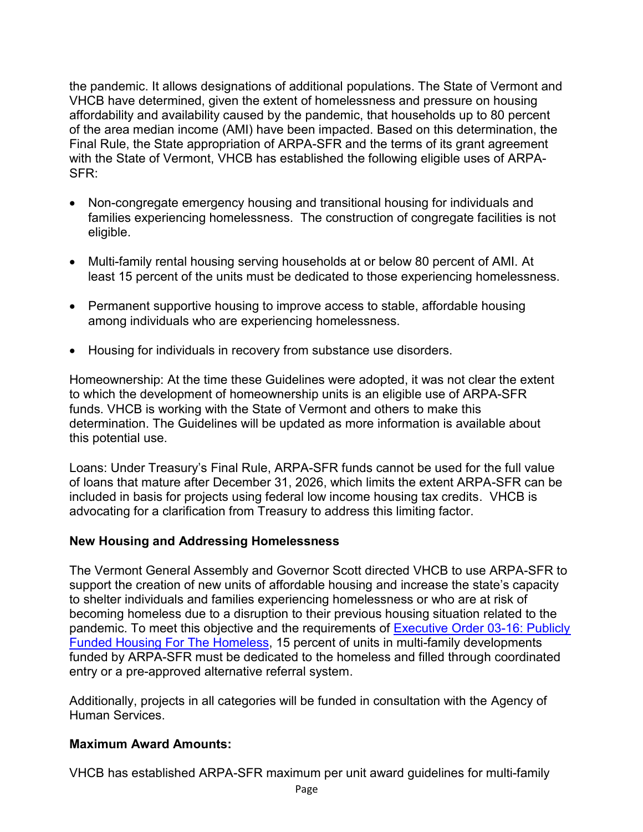the pandemic. It allows designations of additional populations. The State of Vermont and VHCB have determined, given the extent of homelessness and pressure on housing affordability and availability caused by the pandemic, that households up to 80 percent of the area median income (AMI) have been impacted. Based on this determination, the Final Rule, the State appropriation of ARPA-SFR and the terms of its grant agreement with the State of Vermont, VHCB has established the following eligible uses of ARPA-SFR:

- Non-congregate emergency housing and transitional housing for individuals and families experiencing homelessness. The construction of congregate facilities is not eligible.
- Multi-family rental housing serving households at or below 80 percent of AMI. At least 15 percent of the units must be dedicated to those experiencing homelessness.
- Permanent supportive housing to improve access to stable, affordable housing among individuals who are experiencing homelessness.
- Housing for individuals in recovery from substance use disorders.

Homeownership: At the time these Guidelines were adopted, it was not clear the extent to which the development of homeownership units is an eligible use of ARPA-SFR funds. VHCB is working with the State of Vermont and others to make this determination. The Guidelines will be updated as more information is available about this potential use.

Loans: Under Treasury's Final Rule, ARPA-SFR funds cannot be used for the full value of loans that mature after December 31, 2026, which limits the extent ARPA-SFR can be included in basis for projects using federal low income housing tax credits. VHCB is advocating for a clarification from Treasury to address this limiting factor.

#### **New Housing and Addressing Homelessness**

The Vermont General Assembly and Governor Scott directed VHCB to use ARPA-SFR to support the creation of new units of affordable housing and increase the state's capacity to shelter individuals and families experiencing homelessness or who are at risk of becoming homeless due to a disruption to their previous housing situation related to the pandemic. To meet this objective and the requirements of [Executive Order 03-16: Publicly](https://legislature.vermont.gov/statutes/section/03APPENDIX/003/00073)  [Funded Housing For The Homeless,](https://legislature.vermont.gov/statutes/section/03APPENDIX/003/00073) 15 percent of units in multi-family developments funded by ARPA-SFR must be dedicated to the homeless and filled through coordinated entry or a pre-approved alternative referral system.

Additionally, projects in all categories will be funded in consultation with the Agency of Human Services.

#### **Maximum Award Amounts:**

VHCB has established ARPA-SFR maximum per unit award guidelines for multi-family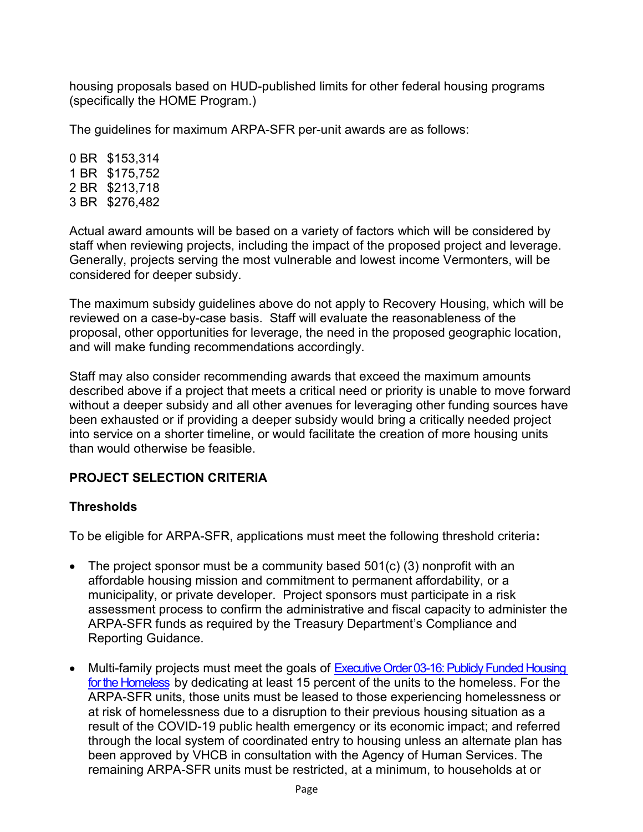housing proposals based on HUD-published limits for other federal housing programs (specifically the HOME Program.)

The guidelines for maximum ARPA-SFR per-unit awards are as follows:

0 BR \$153,314 1 BR \$175,752 2 BR \$213,718 3 BR \$276,482

Actual award amounts will be based on a variety of factors which will be considered by staff when reviewing projects, including the impact of the proposed project and leverage. Generally, projects serving the most vulnerable and lowest income Vermonters, will be considered for deeper subsidy.

The maximum subsidy guidelines above do not apply to Recovery Housing, which will be reviewed on a case-by-case basis. Staff will evaluate the reasonableness of the proposal, other opportunities for leverage, the need in the proposed geographic location, and will make funding recommendations accordingly.

Staff may also consider recommending awards that exceed the maximum amounts described above if a project that meets a critical need or priority is unable to move forward without a deeper subsidy and all other avenues for leveraging other funding sources have been exhausted or if providing a deeper subsidy would bring a critically needed project into service on a shorter timeline, or would facilitate the creation of more housing units than would otherwise be feasible.

#### **PROJECT SELECTION CRITERIA**

#### **Thresholds**

To be eligible for ARPA-SFR, applications must meet the following threshold criteria**:**

- The project sponsor must be a community based 501(c) (3) nonprofit with an affordable housing mission and commitment to permanent affordability, or a municipality, or private developer. Project sponsors must participate in a risk assessment process to confirm the administrative and fiscal capacity to administer the ARPA-SFR funds as required by the Treasury Department's Compliance and Reporting Guidance.
- Multi-family projects must meet the goals of Executive Order 03-16: Publicly Funded Housing for the Homeless by dedicating at least 15 percent of the units to the homeless. For the ARPA-SFR units, those units must be leased to those experiencing homelessness or at risk of homelessness due to a disruption to their previous housing situation as a result of the COVID-19 public health emergency or its economic impact; and referred through the local system of coordinated entry to housing unless an alternate plan has been approved by VHCB in consultation with the Agency of Human Services. The remaining ARPA-SFR units must be restricted, at a minimum, to households at or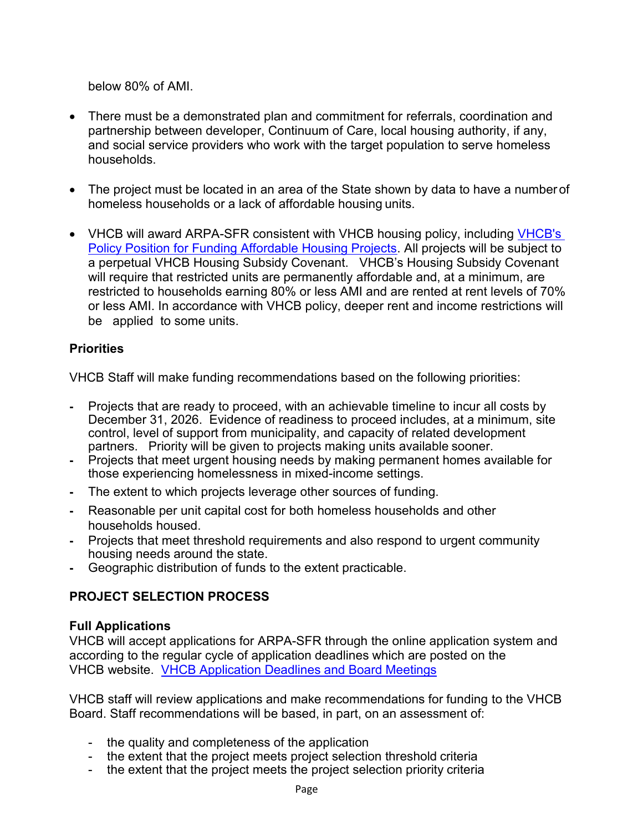below 80% of AMI.

- There must be a demonstrated plan and commitment for referrals, coordination and partnership between developer, Continuum of Care, local housing authority, if any, and social service providers who work with the target population to serve homeless households.
- The project must be located in an area of the State shown by data to have a number of homeless households or a lack of affordable housing units.
- VHCB will award ARPA-SFR consistent with VHCB housing policy, including VHCB's [Policy Position for Funding Affordable Housing Projects.](https://vhcb.org/sites/default/files/policy/housing/housing.pdf) All projects will be subject to a perpetual VHCB Housing Subsidy Covenant. VHCB's Housing Subsidy Covenant will require that restricted units are permanently affordable and, at a minimum, are restricted to households earning 80% or less AMI and are rented at rent levels of 70% or less AMI. In accordance with VHCB policy, deeper rent and income restrictions will be applied to some units.

## **Priorities**

VHCB Staff will make funding recommendations based on the following priorities:

- **-** Projects that are ready to proceed, with an achievable timeline to incur all costs by December 31, 2026. Evidence of readiness to proceed includes, at a minimum, site control, level of support from municipality, and capacity of related development partners. Priority will be given to projects making units available sooner.
- **-** Projects that meet urgent housing needs by making permanent homes available for those experiencing homelessness in mixed-income settings.
- **-** The extent to which projects leverage other sources of funding.
- **-** Reasonable per unit capital cost for both homeless households and other households housed.
- **-** Projects that meet threshold requirements and also respond to urgent community housing needs around the state.
- **-** Geographic distribution of funds to the extent practicable.

# **PROJECT SELECTION PROCESS**

## **Full Applications**

VHCB will accept applications for ARPA-SFR through the online application system and according to the regular cycle of application deadlines which are posted on the VHCB website. [VHCB Application Deadlines and Board Meetings](https://www.vhcb.org/about-us/board-meetings)

VHCB staff will review applications and make recommendations for funding to the VHCB Board. Staff recommendations will be based, in part, on an assessment of:

- the quality and completeness of the application
- the extent that the project meets project selection threshold criteria
- the extent that the project meets the project selection priority criteria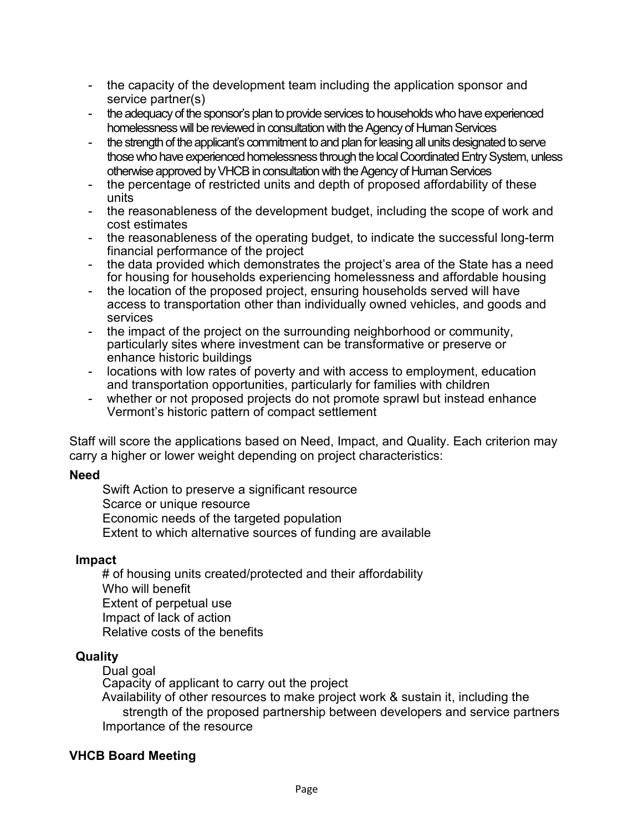- the capacity of the development team including the application sponsor and service partner(s)
- the adequacy of the sponsor's plan to provide services to households who have experienced homelessness will be reviewed in consultation with the Agency of Human Services
- the strength of the applicant's commitment to and plan for leasing all units designated to serve those who have experienced homelessness through the local Coordinated Entry System, unless otherwise approved by VHCB in consultation with the Agency of Human Services
- the percentage of restricted units and depth of proposed affordability of these units
- the reasonableness of the development budget, including the scope of work and cost estimates
- the reasonableness of the operating budget, to indicate the successful long-term financial performance of the project
- the data provided which demonstrates the project's area of the State has a need for housing for households experiencing homelessness and affordable housing
- the location of the proposed project, ensuring households served will have access to transportation other than individually owned vehicles, and goods and services
- the impact of the project on the surrounding neighborhood or community, particularly sites where investment can be transformative or preserve or enhance historic buildings
- locations with low rates of poverty and with access to employment, education and transportation opportunities, particularly for families with children
- whether or not proposed projects do not promote sprawl but instead enhance Vermont's historic pattern of compact settlement

Staff will score the applications based on Need, Impact, and Quality. Each criterion may carry a higher or lower weight depending on project characteristics:

#### **Need**

Swift Action to preserve a significant resource Scarce or unique resource Economic needs of the targeted population Extent to which alternative sources of funding are available

#### **Impact**

# of housing units created/protected and their affordability Who will benefit Extent of perpetual use Impact of lack of action Relative costs of the benefits

#### **Quality**

Dual goal

Capacity of applicant to carry out the project

Availability of other resources to make project work & sustain it, including the strength of the proposed partnership between developers and service partners Importance of the resource

#### **VHCB Board Meeting**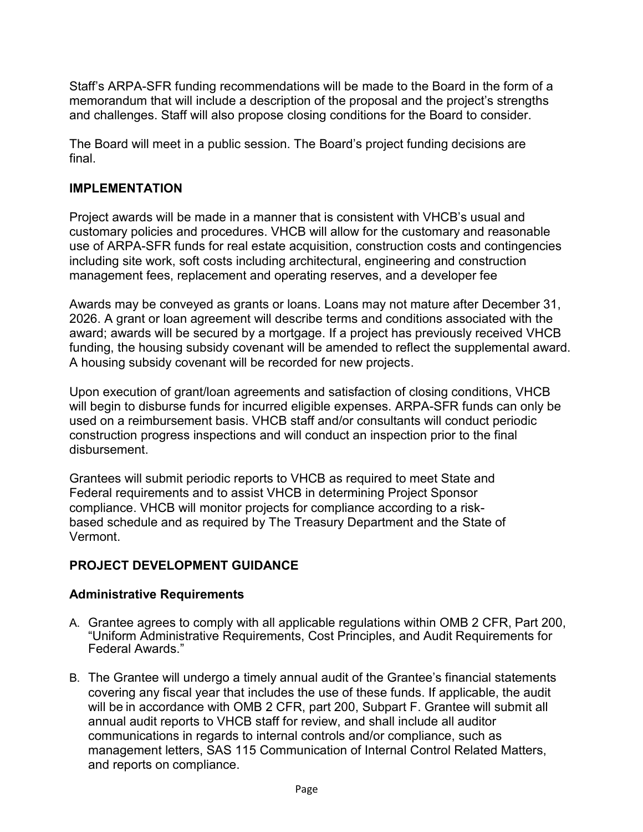Staff's ARPA-SFR funding recommendations will be made to the Board in the form of a memorandum that will include a description of the proposal and the project's strengths and challenges. Staff will also propose closing conditions for the Board to consider.

The Board will meet in a public session. The Board's project funding decisions are final.

#### **IMPLEMENTATION**

Project awards will be made in a manner that is consistent with VHCB's usual and customary policies and procedures. VHCB will allow for the customary and reasonable use of ARPA-SFR funds for real estate acquisition, construction costs and contingencies including site work, soft costs including architectural, engineering and construction management fees, replacement and operating reserves, and a developer fee

Awards may be conveyed as grants or loans. Loans may not mature after December 31, 2026. A grant or loan agreement will describe terms and conditions associated with the award; awards will be secured by a mortgage. If a project has previously received VHCB funding, the housing subsidy covenant will be amended to reflect the supplemental award. A housing subsidy covenant will be recorded for new projects.

Upon execution of grant/loan agreements and satisfaction of closing conditions, VHCB will begin to disburse funds for incurred eligible expenses. ARPA-SFR funds can only be used on a reimbursement basis. VHCB staff and/or consultants will conduct periodic construction progress inspections and will conduct an inspection prior to the final disbursement.

Grantees will submit periodic reports to VHCB as required to meet State and Federal requirements and to assist VHCB in determining Project Sponsor compliance. VHCB will monitor projects for compliance according to a riskbased schedule and as required by The Treasury Department and the State of Vermont.

## **PROJECT DEVELOPMENT GUIDANCE**

## **Administrative Requirements**

- A. Grantee agrees to comply with all applicable regulations within OMB 2 CFR, Part 200, "Uniform Administrative Requirements, Cost Principles, and Audit Requirements for Federal Awards."
- B. The Grantee will undergo a timely annual audit of the Grantee's financial statements covering any fiscal year that includes the use of these funds. If applicable, the audit will be in accordance with OMB 2 CFR, part 200, Subpart F. Grantee will submit all annual audit reports to VHCB staff for review, and shall include all auditor communications in regards to internal controls and/or compliance, such as management letters, SAS 115 Communication of Internal Control Related Matters, and reports on compliance.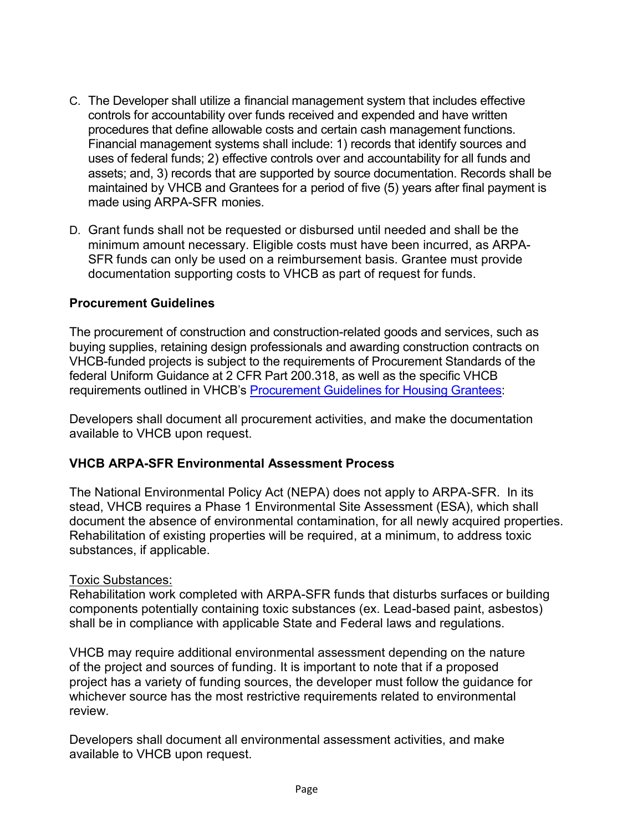- C. The Developer shall utilize a financial management system that includes effective controls for accountability over funds received and expended and have written procedures that define allowable costs and certain cash management functions. Financial management systems shall include: 1) records that identify sources and uses of federal funds; 2) effective controls over and accountability for all funds and assets; and, 3) records that are supported by source documentation. Records shall be maintained by VHCB and Grantees for a period of five (5) years after final payment is made using ARPA-SFR monies.
- D. Grant funds shall not be requested or disbursed until needed and shall be the minimum amount necessary. Eligible costs must have been incurred, as ARPA-SFR funds can only be used on a reimbursement basis. Grantee must provide documentation supporting costs to VHCB as part of request for funds.

#### **Procurement Guidelines**

The procurement of construction and construction-related goods and services, such as buying supplies, retaining design professionals and awarding construction contracts on VHCB-funded projects is subject to the requirements of Procurement Standards of the federal Uniform Guidance at 2 CFR Part 200.318, as well as the specific VHCB requirements outlined in VHCB's [Procurement Guidelines for Housing Grantees:](https://vhcb.org/our-programs/housing/housing-policies)

Developers shall document all procurement activities, and make the documentation available to VHCB upon request.

#### **VHCB ARPA-SFR Environmental Assessment Process**

The National Environmental Policy Act (NEPA) does not apply to ARPA-SFR. In its stead, VHCB requires a Phase 1 Environmental Site Assessment (ESA), which shall document the absence of environmental contamination, for all newly acquired properties. Rehabilitation of existing properties will be required, at a minimum, to address toxic substances, if applicable.

#### Toxic Substances:

Rehabilitation work completed with ARPA-SFR funds that disturbs surfaces or building components potentially containing toxic substances (ex. Lead-based paint, asbestos) shall be in compliance with applicable State and Federal laws and regulations.

VHCB may require additional environmental assessment depending on the nature of the project and sources of funding. It is important to note that if a proposed project has a variety of funding sources, the developer must follow the guidance for whichever source has the most restrictive requirements related to environmental review.

Developers shall document all environmental assessment activities, and make available to VHCB upon request.